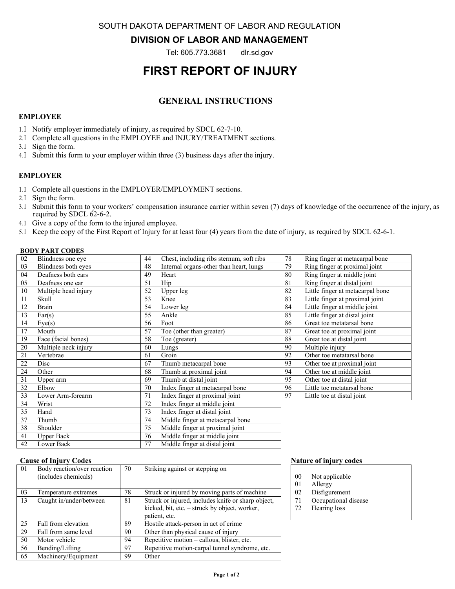SOUTH DAKOTA DEPARTMENT OF LABOR AND REGULATION

## **DIVISION OF LABOR AND MANAGEMENT**

Tel: 605.773.3681 dlr.sd.gov

# **FIRST REPORT OF INJURY**

# **GENERAL INSTRUCTIONS**

### **EMPLOYEE**

- 1. Notify employer immediately of injury, as required by SDCL 62-7-10.
- 2. A Complete all questions in the EMPLOYEE and INJURY/TREATMENT sections.
- 3. A Sign the form.
- 4. A Submit this form to your employer within three (3) business days after the injury.

### **EMPLOYER**

- 1. Á Complete all questions in the EMPLOYER/EMPLOYMENT sections.
- 2. A Sign the form.
- 3. Submit this form to your workers' compensation insurance carrier within seven (7) days of knowledge of the occurrence of the injury, as required by SDCL 62-6-2.
- 4. A Give a copy of the form to the injured employee.
- 5. Keep the copy of the First Report of Injury for at least four (4) years from the date of injury, as required by SDCL 62-6-1.

### **BODY PART CODES**

| 02 | Blindness one eye    | 44 | Chest, including ribs sternum, soft ribs | 78 | Ring finger at metacarpal bone   |
|----|----------------------|----|------------------------------------------|----|----------------------------------|
| 03 | Blindness both eyes  | 48 | Internal organs-other than heart, lungs  | 79 | Ring finger at proximal joint    |
| 04 | Deafness both ears   | 49 | Heart                                    | 80 | Ring finger at middle joint      |
| 05 | Deafness one ear     | 51 | Hip                                      | 81 | Ring finger at distal joint      |
| 10 | Multiple head injury | 52 | Upper leg                                | 82 | Little finger at metacarpal bone |
| 11 | Skull                | 53 | Knee                                     | 83 | Little finger at proximal joint  |
| 12 | Brain                | 54 | Lower leg                                | 84 | Little finger at middle joint    |
| 13 | Ear(s)               | 55 | Ankle                                    | 85 | Little finger at distal joint    |
| 14 | Eye(s)               | 56 | Foot                                     | 86 | Great toe metatarsal bone        |
| 17 | Mouth                | 57 | Toe (other than greater)                 | 87 | Great toe at proximal joint      |
| 19 | Face (facial bones)  | 58 | Toe (greater)                            | 88 | Great toe at distal joint        |
| 20 | Multiple neck injury | 60 | Lungs                                    | 90 | Multiple injury                  |
| 21 | Vertebrae            | 61 | Groin                                    | 92 | Other toe metatarsal bone        |
| 22 | Disc                 | 67 | Thumb metacarpal bone                    | 93 | Other toe at proximal joint      |
| 24 | Other                | 68 | Thumb at proximal joint                  | 94 | Other toe at middle joint        |
| 31 | Upper arm            | 69 | Thumb at distal joint                    | 95 | Other toe at distal joint        |
| 32 | Elbow                | 70 | Index finger at metacarpal bone          | 96 | Little toe metatarsal bone       |
| 33 | Lower Arm-forearm    | 71 | Index finger at proximal joint           | 97 | Little toe at distal joint       |
| 34 | Wrist                | 72 | Index finger at middle joint             |    |                                  |
| 35 | Hand                 | 73 | Index finger at distal joint             |    |                                  |
| 37 | Thumb                | 74 | Middle finger at metacarpal bone         |    |                                  |
| 38 | Shoulder             | 75 | Middle finger at proximal joint          |    |                                  |
| 41 | <b>Upper Back</b>    | 76 | Middle finger at middle joint            |    |                                  |

#### **Cause of Injury Codes Nature of injury codes** Nature of injury codes

| 01 | Body reaction/over reaction<br>(includes chemicals) | 70 | Striking against or stepping on                                                                                      |
|----|-----------------------------------------------------|----|----------------------------------------------------------------------------------------------------------------------|
| 03 | Temperature extremes                                | 78 | Struck or injured by moving parts of machine                                                                         |
| 13 | Caught in/under/between                             | 81 | Struck or injured, includes knife or sharp object,<br>kicked, bit, etc. – struck by object, worker,<br>patient, etc. |
| 25 | Fall from elevation                                 | 89 | Hostile attack-person in act of crime                                                                                |
| 29 | Fall from same level                                | 90 | Other than physical cause of injury                                                                                  |
| 50 | Motor vehicle                                       | 94 | Repetitive motion – callous, blister, etc.                                                                           |
| 56 | Bending/Lifting                                     | 97 | Repetitive motion-carpal tunnel syndrome, etc.                                                                       |
| 65 | Machinery/Equipment                                 | 99 | Other                                                                                                                |

42 Lower Back 77 Middle finger at distal joint

- 00 Not applicable
- 01 Allergy
- 02 Disfigurement
- 71 Occupational disease
- 72 Hearing loss